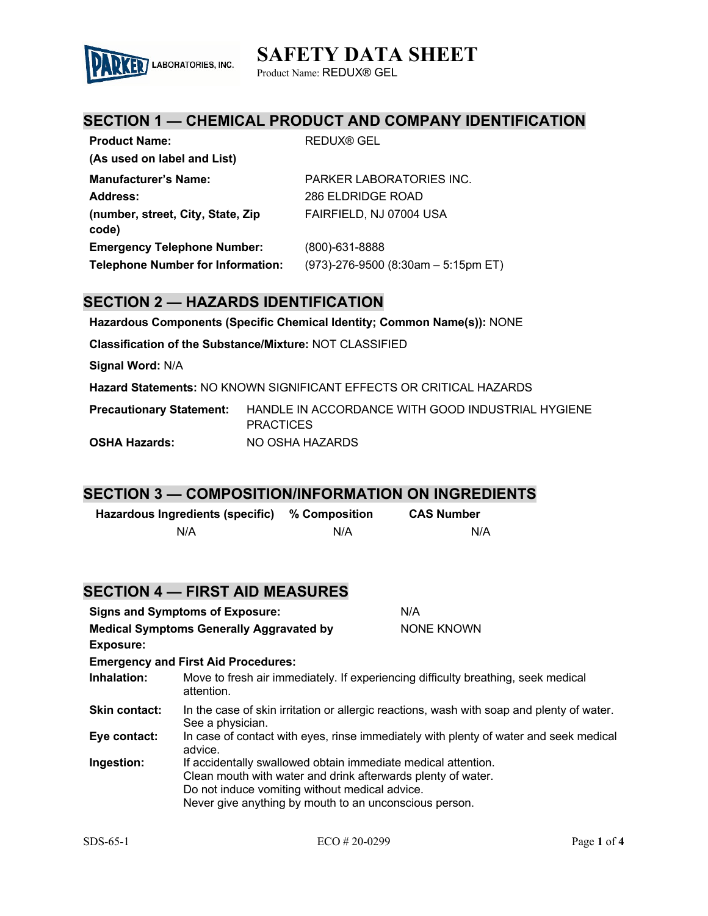

Product Name: REDUX® GEL

### **SECTION 1 — CHEMICAL PRODUCT AND COMPANY IDENTIFICATION**

| <b>Product Name:</b>                                                           | <b>REDUX® GEL</b>                                           |
|--------------------------------------------------------------------------------|-------------------------------------------------------------|
| (As used on label and List)                                                    |                                                             |
| <b>Manufacturer's Name:</b>                                                    | PARKER LABORATORIES INC.                                    |
| Address:                                                                       | 286 ELDRIDGE ROAD                                           |
| (number, street, City, State, Zip<br>code)                                     | FAIRFIELD, NJ 07004 USA                                     |
| <b>Emergency Telephone Number:</b><br><b>Telephone Number for Information:</b> | $(800)$ -631-8888<br>$(973)$ -276-9500 (8:30am - 5:15pm ET) |

### **SECTION 2 — HAZARDS IDENTIFICATION**

**Hazardous Components (Specific Chemical Identity; Common Name(s)):** NONE

**Classification of the Substance/Mixture:** NOT CLASSIFIED

**Signal Word:** N/A

**Hazard Statements:** NO KNOWN SIGNIFICANT EFFECTS OR CRITICAL HAZARDS

**Precautionary Statement:** HANDLE IN ACCORDANCE WITH GOOD INDUSTRIAL HYGIENE **PRACTICES OSHA Hazards:** NO OSHA HAZARDS

### **SECTION 3 — COMPOSITION/INFORMATION ON INGREDIENTS**

| Hazardous Ingredients (specific) | % Composition | <b>CAS Number</b> |
|----------------------------------|---------------|-------------------|
| N/A                              | N/A           | N/A               |

|                                                 | <b>SECTION 4 — FIRST AID MEASURES</b>                                                                                                                                                                                                     |                                                                                       |
|-------------------------------------------------|-------------------------------------------------------------------------------------------------------------------------------------------------------------------------------------------------------------------------------------------|---------------------------------------------------------------------------------------|
|                                                 | <b>Signs and Symptoms of Exposure:</b>                                                                                                                                                                                                    | N/A                                                                                   |
| <b>Medical Symptoms Generally Aggravated by</b> |                                                                                                                                                                                                                                           | NONE KNOWN                                                                            |
| <b>Exposure:</b>                                |                                                                                                                                                                                                                                           |                                                                                       |
|                                                 | <b>Emergency and First Aid Procedures:</b>                                                                                                                                                                                                |                                                                                       |
| Inhalation:                                     | Move to fresh air immediately. If experiencing difficulty breathing, seek medical<br>attention.                                                                                                                                           |                                                                                       |
| <b>Skin contact:</b>                            | In the case of skin irritation or allergic reactions, wash with soap and plenty of water.<br>See a physician.                                                                                                                             |                                                                                       |
| Eye contact:                                    | advice.                                                                                                                                                                                                                                   | In case of contact with eyes, rinse immediately with plenty of water and seek medical |
| Ingestion:                                      | If accidentally swallowed obtain immediate medical attention.<br>Clean mouth with water and drink afterwards plenty of water.<br>Do not induce vomiting without medical advice.<br>Never give anything by mouth to an unconscious person. |                                                                                       |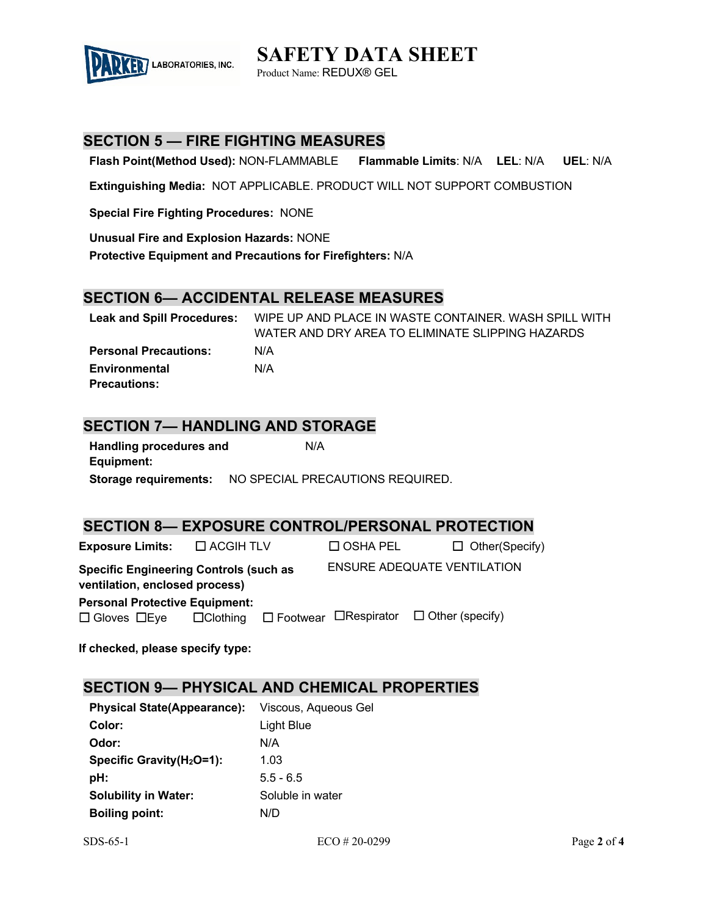

Product Name: REDUX® GEL

## **SECTION 5 — FIRE FIGHTING MEASURES**

**Flash Point(Method Used):** NON-FLAMMABLE **Flammable Limits**: N/A **LEL**: N/A **UEL**: N/A

**Extinguishing Media:** NOT APPLICABLE. PRODUCT WILL NOT SUPPORT COMBUSTION

**Special Fire Fighting Procedures:** NONE

**Unusual Fire and Explosion Hazards:** NONE

**Protective Equipment and Precautions for Firefighters:** N/A

### **SECTION 6— ACCIDENTAL RELEASE MEASURES**

**Leak and Spill Procedures:** WIPE UP AND PLACE IN WASTE CONTAINER. WASH SPILL WITH WATER AND DRY AREA TO ELIMINATE SLIPPING HAZARDS **Personal Precautions:** N/A **Environmental Precautions:** N/A

### **SECTION 7— HANDLING AND STORAGE**

**Handling procedures and Equipment:** N/A **Storage requirements:** NO SPECIAL PRECAUTIONS REQUIRED.

### **SECTION 8— EXPOSURE CONTROL/PERSONAL PROTECTION**

| <b>Exposure Limits:</b> $\Box$ ACGIH TLV                                        |  | $\Box$ OSHA PEL | $\Box$ Other(Specify)                                                    |
|---------------------------------------------------------------------------------|--|-----------------|--------------------------------------------------------------------------|
| <b>Specific Engineering Controls (such as</b><br>ventilation, enclosed process) |  |                 | <b>ENSURE ADEQUATE VENTILATION</b>                                       |
| <b>Personal Protective Equipment:</b>                                           |  |                 |                                                                          |
| $\Box$ Gloves $\Box$ Eye                                                        |  |                 | $\Box$ Clothing $\Box$ Footwear $\Box$ Respirator $\Box$ Other (specify) |

**If checked, please specify type:**

### **SECTION 9— PHYSICAL AND CHEMICAL PROPERTIES**

| <b>Physical State(Appearance):</b>    | Viscous, Aqueous Gel |
|---------------------------------------|----------------------|
| Color:                                | Light Blue           |
| Odor:                                 | N/A                  |
| Specific Gravity(H <sub>2</sub> O=1): | 1.03                 |
| pH:                                   | $5.5 - 6.5$          |
| <b>Solubility in Water:</b>           | Soluble in water     |
| <b>Boiling point:</b>                 | N/D                  |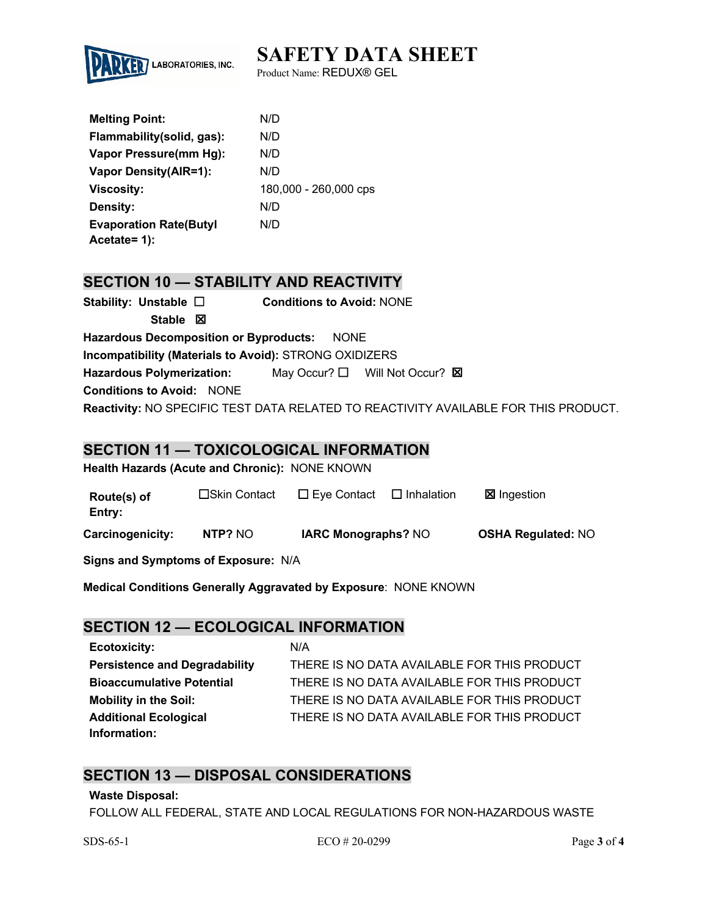

Product Name: REDUX® GEL

| <b>Melting Point:</b>          | N/D                   |
|--------------------------------|-----------------------|
| Flammability (solid, gas):     | N/D                   |
| Vapor Pressure(mm Hg):         | N/D                   |
| <b>Vapor Density (AIR=1):</b>  | N/D                   |
| <b>Viscosity:</b>              | 180,000 - 260,000 cps |
| Density:                       | N/D                   |
| <b>Evaporation Rate (Butyl</b> | N/D                   |
| Acetate= 1):                   |                       |

# **SECTION 10 — STABILITY AND REACTIVITY**

| Stability: Unstable $\Box$                             | <b>Conditions to Avoid: NONE</b>              |                                                                                     |  |
|--------------------------------------------------------|-----------------------------------------------|-------------------------------------------------------------------------------------|--|
| Stable $\boxtimes$                                     |                                               |                                                                                     |  |
| <b>Hazardous Decomposition or Byproducts:</b>          | <b>NONE</b>                                   |                                                                                     |  |
| Incompatibility (Materials to Avoid): STRONG OXIDIZERS |                                               |                                                                                     |  |
| <b>Hazardous Polymerization:</b>                       | May Occur? $\Box$ Will Not Occur? $\boxtimes$ |                                                                                     |  |
| <b>Conditions to Avoid: NONE</b>                       |                                               |                                                                                     |  |
|                                                        |                                               | Reactivity: NO SPECIFIC TEST DATA RELATED TO REACTIVITY AVAILABLE FOR THIS PRODUCT. |  |

### **SECTION 11 — TOXICOLOGICAL INFORMATION**

**Health Hazards (Acute and Chronic):** NONE KNOWN

| Route(s) of<br>Entry: | $\square$ Skin Contact | $\Box$ Eye Contact         | $\Box$ Inhalation | <b>区</b> Ingestion        |
|-----------------------|------------------------|----------------------------|-------------------|---------------------------|
| Carcinogenicity:      | NTP? NO                | <b>IARC Monographs? NO</b> |                   | <b>OSHA Regulated: NO</b> |

**Signs and Symptoms of Exposure:** N/A

**Medical Conditions Generally Aggravated by Exposure**: NONE KNOWN

## **SECTION 12 — ECOLOGICAL INFORMATION**

| <b>Ecotoxicity:</b>                  | N/A                                         |
|--------------------------------------|---------------------------------------------|
| <b>Persistence and Degradability</b> | THERE IS NO DATA AVAILABLE FOR THIS PRODUCT |
| <b>Bioaccumulative Potential</b>     | THERE IS NO DATA AVAILABLE FOR THIS PRODUCT |
| <b>Mobility in the Soil:</b>         | THERE IS NO DATA AVAILABLE FOR THIS PRODUCT |
| <b>Additional Ecological</b>         | THERE IS NO DATA AVAILABLE FOR THIS PRODUCT |
| Information:                         |                                             |

### **SECTION 13 — DISPOSAL CONSIDERATIONS**

#### **Waste Disposal:**

FOLLOW ALL FEDERAL, STATE AND LOCAL REGULATIONS FOR NON-HAZARDOUS WASTE